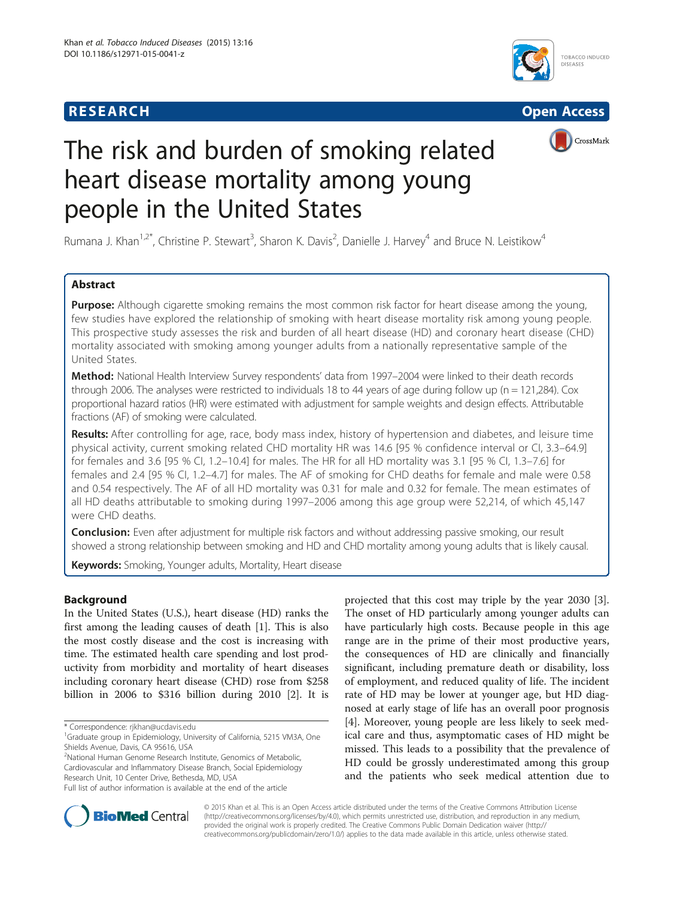## **RESEARCH RESEARCH** *CHECKER CHECKER CHECKER CHECKER CHECKER CHECKER CHECKER CHECKER CHECKER CHECKER CHECKER*







# The risk and burden of smoking related heart disease mortality among young people in the United States

Rumana J. Khan<sup>1,2\*</sup>, Christine P. Stewart<sup>3</sup>, Sharon K. Davis<sup>2</sup>, Danielle J. Harvey<sup>4</sup> and Bruce N. Leistikow<sup>4</sup>

## Abstract

Purpose: Although cigarette smoking remains the most common risk factor for heart disease among the young, few studies have explored the relationship of smoking with heart disease mortality risk among young people. This prospective study assesses the risk and burden of all heart disease (HD) and coronary heart disease (CHD) mortality associated with smoking among younger adults from a nationally representative sample of the United States.

Method: National Health Interview Survey respondents' data from 1997–2004 were linked to their death records through 2006. The analyses were restricted to individuals 18 to 44 years of age during follow up ( $n = 121,284$ ). Cox proportional hazard ratios (HR) were estimated with adjustment for sample weights and design effects. Attributable fractions (AF) of smoking were calculated.

Results: After controlling for age, race, body mass index, history of hypertension and diabetes, and leisure time physical activity, current smoking related CHD mortality HR was 14.6 [95 % confidence interval or CI, 3.3–64.9] for females and 3.6 [95 % CI, 1.2–10.4] for males. The HR for all HD mortality was 3.1 [95 % CI, 1.3–7.6] for females and 2.4 [95 % CI, 1.2–4.7] for males. The AF of smoking for CHD deaths for female and male were 0.58 and 0.54 respectively. The AF of all HD mortality was 0.31 for male and 0.32 for female. The mean estimates of all HD deaths attributable to smoking during 1997–2006 among this age group were 52,214, of which 45,147 were CHD deaths.

**Conclusion:** Even after adjustment for multiple risk factors and without addressing passive smoking, our result showed a strong relationship between smoking and HD and CHD mortality among young adults that is likely causal.

Keywords: Smoking, Younger adults, Mortality, Heart disease

## Background

In the United States (U.S.), heart disease (HD) ranks the first among the leading causes of death [[1\]](#page-6-0). This is also the most costly disease and the cost is increasing with time. The estimated health care spending and lost productivity from morbidity and mortality of heart diseases including coronary heart disease (CHD) rose from \$258 billion in 2006 to \$316 billion during 2010 [[2\]](#page-6-0). It is

2 National Human Genome Research Institute, Genomics of Metabolic, Cardiovascular and Inflammatory Disease Branch, Social Epidemiology Research Unit, 10 Center Drive, Bethesda, MD, USA Full list of author information is available at the end of the article



© 2015 Khan et al. This is an Open Access article distributed under the terms of the Creative Commons Attribution License [\(http://creativecommons.org/licenses/by/4.0\)](http://creativecommons.org/licenses/by/4.0), which permits unrestricted use, distribution, and reproduction in any medium, provided the original work is properly credited. The Creative Commons Public Domain Dedication waiver [\(http://](http://creativecommons.org/publicdomain/zero/1.0/) [creativecommons.org/publicdomain/zero/1.0/\)](http://creativecommons.org/publicdomain/zero/1.0/) applies to the data made available in this article, unless otherwise stated.

<sup>\*</sup> Correspondence: [rjkhan@ucdavis.edu](mailto:rjkhan@ucdavis.edu) <sup>1</sup>

<sup>&</sup>lt;sup>1</sup>Graduate group in Epidemiology, University of California, 5215 VM3A, One Shields Avenue, Davis, CA 95616, USA

projected that this cost may triple by the year 2030 [\[3](#page-6-0)]. The onset of HD particularly among younger adults can have particularly high costs. Because people in this age range are in the prime of their most productive years, the consequences of HD are clinically and financially significant, including premature death or disability, loss of employment, and reduced quality of life. The incident rate of HD may be lower at younger age, but HD diagnosed at early stage of life has an overall poor prognosis [[4\]](#page-6-0). Moreover, young people are less likely to seek medical care and thus, asymptomatic cases of HD might be missed. This leads to a possibility that the prevalence of HD could be grossly underestimated among this group and the patients who seek medical attention due to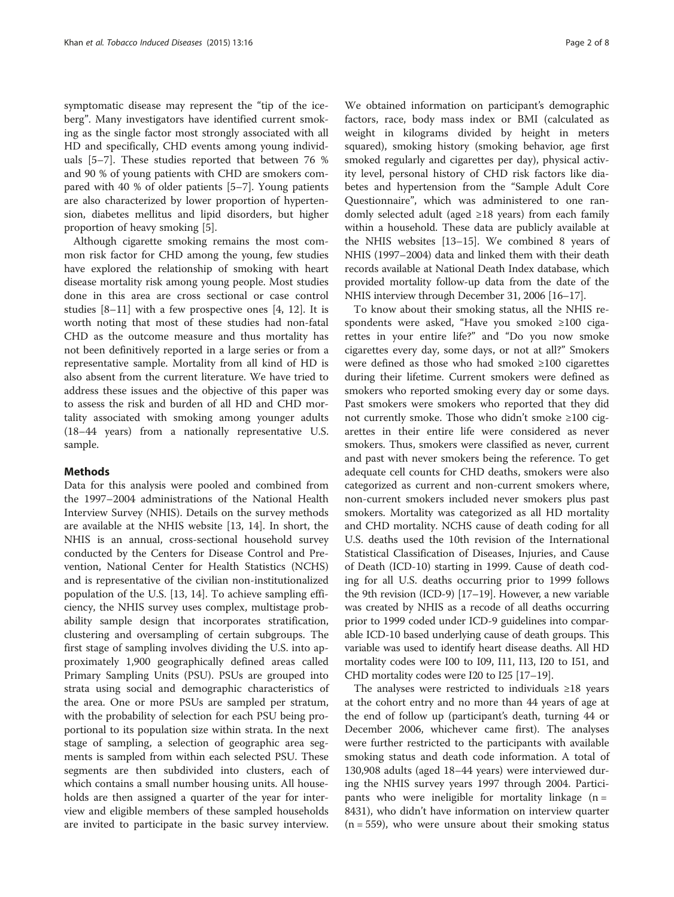symptomatic disease may represent the "tip of the iceberg". Many investigators have identified current smoking as the single factor most strongly associated with all HD and specifically, CHD events among young individuals [[5](#page-6-0)–[7\]](#page-6-0). These studies reported that between 76 % and 90 % of young patients with CHD are smokers compared with 40 % of older patients [\[5](#page-6-0)–[7](#page-6-0)]. Young patients are also characterized by lower proportion of hypertension, diabetes mellitus and lipid disorders, but higher proportion of heavy smoking [[5\]](#page-6-0).

Although cigarette smoking remains the most common risk factor for CHD among the young, few studies have explored the relationship of smoking with heart disease mortality risk among young people. Most studies done in this area are cross sectional or case control studies [[8](#page-6-0)–[11\]](#page-6-0) with a few prospective ones [[4, 12\]](#page-6-0). It is worth noting that most of these studies had non-fatal CHD as the outcome measure and thus mortality has not been definitively reported in a large series or from a representative sample. Mortality from all kind of HD is also absent from the current literature. We have tried to address these issues and the objective of this paper was to assess the risk and burden of all HD and CHD mortality associated with smoking among younger adults (18–44 years) from a nationally representative U.S. sample.

#### Methods

Data for this analysis were pooled and combined from the 1997–2004 administrations of the National Health Interview Survey (NHIS). Details on the survey methods are available at the NHIS website [[13](#page-6-0), [14](#page-6-0)]. In short, the NHIS is an annual, cross-sectional household survey conducted by the Centers for Disease Control and Prevention, National Center for Health Statistics (NCHS) and is representative of the civilian non-institutionalized population of the U.S. [\[13](#page-6-0), [14](#page-6-0)]. To achieve sampling efficiency, the NHIS survey uses complex, multistage probability sample design that incorporates stratification, clustering and oversampling of certain subgroups. The first stage of sampling involves dividing the U.S. into approximately 1,900 geographically defined areas called Primary Sampling Units (PSU). PSUs are grouped into strata using social and demographic characteristics of the area. One or more PSUs are sampled per stratum, with the probability of selection for each PSU being proportional to its population size within strata. In the next stage of sampling, a selection of geographic area segments is sampled from within each selected PSU. These segments are then subdivided into clusters, each of which contains a small number housing units. All households are then assigned a quarter of the year for interview and eligible members of these sampled households are invited to participate in the basic survey interview.

We obtained information on participant's demographic factors, race, body mass index or BMI (calculated as weight in kilograms divided by height in meters squared), smoking history (smoking behavior, age first smoked regularly and cigarettes per day), physical activity level, personal history of CHD risk factors like diabetes and hypertension from the "Sample Adult Core Questionnaire", which was administered to one randomly selected adult (aged ≥18 years) from each family within a household. These data are publicly available at the NHIS websites [[13](#page-6-0)–[15\]](#page-6-0). We combined 8 years of NHIS (1997–2004) data and linked them with their death records available at National Death Index database, which provided mortality follow-up data from the date of the NHIS interview through December 31, 2006 [[16](#page-6-0)–[17\]](#page-6-0).

To know about their smoking status, all the NHIS respondents were asked, "Have you smoked ≥100 cigarettes in your entire life?" and "Do you now smoke cigarettes every day, some days, or not at all?" Smokers were defined as those who had smoked ≥100 cigarettes during their lifetime. Current smokers were defined as smokers who reported smoking every day or some days. Past smokers were smokers who reported that they did not currently smoke. Those who didn't smoke ≥100 cigarettes in their entire life were considered as never smokers. Thus, smokers were classified as never, current and past with never smokers being the reference. To get adequate cell counts for CHD deaths, smokers were also categorized as current and non-current smokers where, non-current smokers included never smokers plus past smokers. Mortality was categorized as all HD mortality and CHD mortality. NCHS cause of death coding for all U.S. deaths used the 10th revision of the International Statistical Classification of Diseases, Injuries, and Cause of Death (ICD-10) starting in 1999. Cause of death coding for all U.S. deaths occurring prior to 1999 follows the 9th revision (ICD-9) [[17](#page-6-0)–[19\]](#page-6-0). However, a new variable was created by NHIS as a recode of all deaths occurring prior to 1999 coded under ICD-9 guidelines into comparable ICD-10 based underlying cause of death groups. This variable was used to identify heart disease deaths. All HD mortality codes were I00 to I09, I11, I13, I20 to I51, and CHD mortality codes were I20 to I25 [\[17](#page-6-0)–[19](#page-6-0)].

The analyses were restricted to individuals ≥18 years at the cohort entry and no more than 44 years of age at the end of follow up (participant's death, turning 44 or December 2006, whichever came first). The analyses were further restricted to the participants with available smoking status and death code information. A total of 130,908 adults (aged 18–44 years) were interviewed during the NHIS survey years 1997 through 2004. Participants who were ineligible for mortality linkage  $(n =$ 8431), who didn't have information on interview quarter  $(n = 559)$ , who were unsure about their smoking status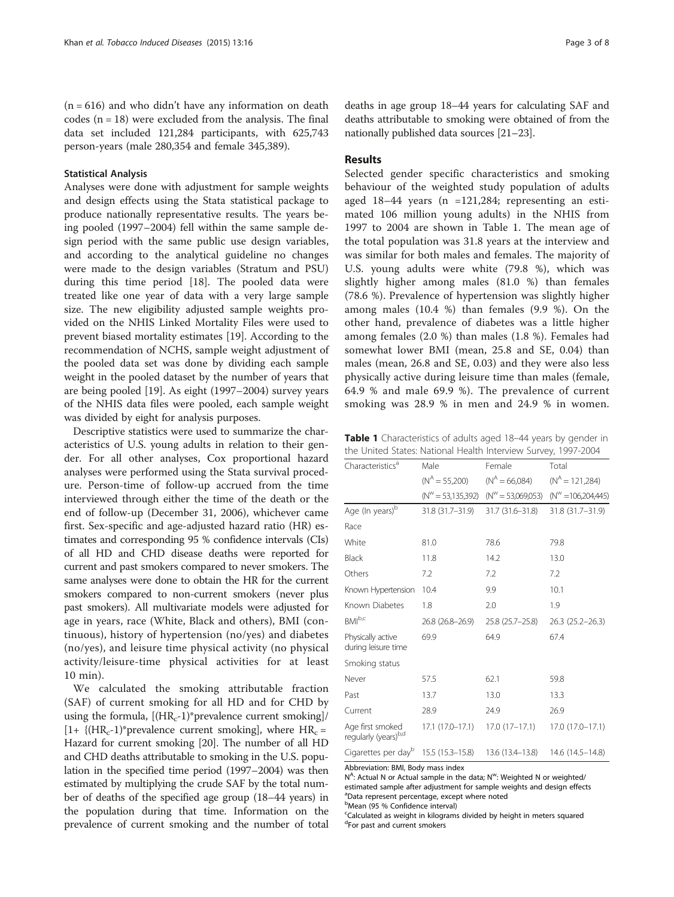$(n = 616)$  and who didn't have any information on death codes  $(n = 18)$  were excluded from the analysis. The final data set included 121,284 participants, with 625,743 person-years (male 280,354 and female 345,389).

#### Statistical Analysis

Analyses were done with adjustment for sample weights and design effects using the Stata statistical package to produce nationally representative results. The years being pooled (1997–2004) fell within the same sample design period with the same public use design variables, and according to the analytical guideline no changes were made to the design variables (Stratum and PSU) during this time period [[18](#page-6-0)]. The pooled data were treated like one year of data with a very large sample size. The new eligibility adjusted sample weights provided on the NHIS Linked Mortality Files were used to prevent biased mortality estimates [\[19\]](#page-6-0). According to the recommendation of NCHS, sample weight adjustment of the pooled data set was done by dividing each sample weight in the pooled dataset by the number of years that are being pooled [\[19\]](#page-6-0). As eight (1997–2004) survey years of the NHIS data files were pooled, each sample weight was divided by eight for analysis purposes.

Descriptive statistics were used to summarize the characteristics of U.S. young adults in relation to their gender. For all other analyses, Cox proportional hazard analyses were performed using the Stata survival procedure. Person-time of follow-up accrued from the time interviewed through either the time of the death or the end of follow-up (December 31, 2006), whichever came first. Sex-specific and age-adjusted hazard ratio (HR) estimates and corresponding 95 % confidence intervals (CIs) of all HD and CHD disease deaths were reported for current and past smokers compared to never smokers. The same analyses were done to obtain the HR for the current smokers compared to non-current smokers (never plus past smokers). All multivariate models were adjusted for age in years, race (White, Black and others), BMI (continuous), history of hypertension (no/yes) and diabetes (no/yes), and leisure time physical activity (no physical activity/leisure-time physical activities for at least 10 min).

We calculated the smoking attributable fraction (SAF) of current smoking for all HD and for CHD by using the formula,  $[(HR_c-1)*prevalence current smoking]$  $[1+ {(HR<sub>c</sub>-1)*prevalence current smoking}, where HR<sub>c</sub> =$ Hazard for current smoking [\[20\]](#page-6-0). The number of all HD and CHD deaths attributable to smoking in the U.S. population in the specified time period (1997–2004) was then estimated by multiplying the crude SAF by the total number of deaths of the specified age group (18–44 years) in the population during that time. Information on the prevalence of current smoking and the number of total deaths in age group 18–44 years for calculating SAF and deaths attributable to smoking were obtained of from the nationally published data sources [[21](#page-6-0)–[23\]](#page-6-0).

## Results

Selected gender specific characteristics and smoking behaviour of the weighted study population of adults aged 18–44 years (n =121,284; representing an estimated 106 million young adults) in the NHIS from 1997 to 2004 are shown in Table 1. The mean age of the total population was 31.8 years at the interview and was similar for both males and females. The majority of U.S. young adults were white (79.8 %), which was slightly higher among males (81.0 %) than females (78.6 %). Prevalence of hypertension was slightly higher among males (10.4 %) than females (9.9 %). On the other hand, prevalence of diabetes was a little higher among females (2.0 %) than males (1.8 %). Females had somewhat lower BMI (mean, 25.8 and SE, 0.04) than males (mean, 26.8 and SE, 0.03) and they were also less physically active during leisure time than males (female, 64.9 % and male 69.9 %). The prevalence of current smoking was 28.9 % in men and 24.9 % in women.

Table 1 Characteristics of adults aged 18-44 years by gender in the United States: National Health Interview Survey, 1997-2004

| Male             | Female                                                                                                                                  | Total                              |
|------------------|-----------------------------------------------------------------------------------------------------------------------------------------|------------------------------------|
| $(N^A = 55,200)$ | $(N^A = 66,084)$                                                                                                                        | $(N^A = 121,284)$                  |
|                  | $(N^{\prime\prime} = 53,069,053)$                                                                                                       | $(N^{\prime\prime} = 106,204,445)$ |
| 31.8 (31.7-31.9) | 31.7 (31.6-31.8)                                                                                                                        | 31.8 (31.7-31.9)                   |
|                  |                                                                                                                                         |                                    |
| 81.0             | 78.6                                                                                                                                    | 79.8                               |
| 11.8             | 14.2                                                                                                                                    | 13.0                               |
| 7.2              | 7.2                                                                                                                                     | 7.2                                |
| 10.4             | 9.9                                                                                                                                     | 10.1                               |
| 1.8              | 2.0                                                                                                                                     | 1.9                                |
| 26.8 (26.8-26.9) | 25.8 (25.7–25.8)                                                                                                                        | $26.3(25.2 - 26.3)$                |
| 69.9             | 64.9                                                                                                                                    | 67.4                               |
|                  |                                                                                                                                         |                                    |
| 57.5             | 62.1                                                                                                                                    | 59.8                               |
| 13.7             | 13.0                                                                                                                                    | 13.3                               |
| 28.9             | 24.9                                                                                                                                    | 26.9                               |
| 17.1 (17.0–17.1) | $17.0(17-17.1)$                                                                                                                         | 17.0 (17.0-17.1)                   |
| 15.5 (15.3–15.8) | 13.6 (13.4–13.8)                                                                                                                        | 14.6 (14.5-14.8)                   |
|                  | Known Hypertension<br>Cigarettes per dayb<br>$\mathbf{A} \mathbf{B} \mathbf{B}$ and $\mathbf{B} \mathbf{B}$ and $\mathbf{B} \mathbf{B}$ | $(N^{\prime\prime} = 53,135,392)$  |

Abbreviation: BMI, Body mass index

N<sup>A</sup>: Actual N or Actual sample in the data; N<sup>w</sup>: Weighted N or weighted/ estimated sample after adjustment for sample weights and design effects a Data represent percentage, except where noted

b Mean (95 % Confidence interval)

<sup>c</sup>Calculated as weight in kilograms divided by height in meters squared d For past and current smokers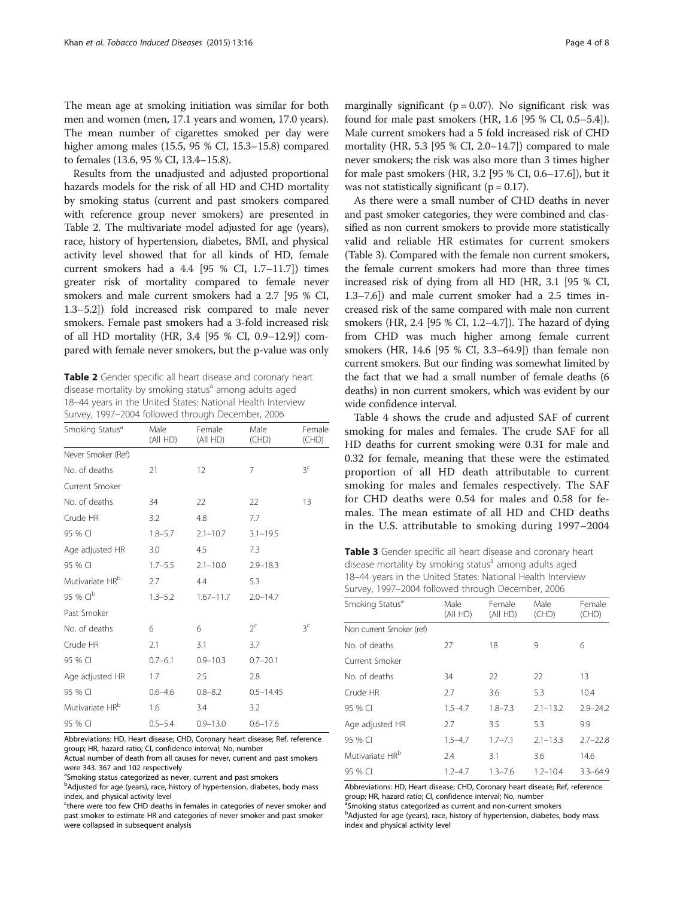The mean age at smoking initiation was similar for both men and women (men, 17.1 years and women, 17.0 years). The mean number of cigarettes smoked per day were higher among males (15.5, 95 % CI, 15.3–15.8) compared to females (13.6, 95 % CI, 13.4–15.8).

Results from the unadjusted and adjusted proportional hazards models for the risk of all HD and CHD mortality by smoking status (current and past smokers compared with reference group never smokers) are presented in Table 2. The multivariate model adjusted for age (years), race, history of hypertension, diabetes, BMI, and physical activity level showed that for all kinds of HD, female current smokers had a 4.4 [95 % CI, 1.7–11.7]) times greater risk of mortality compared to female never smokers and male current smokers had a 2.7 [95 % CI, 1.3–5.2]) fold increased risk compared to male never smokers. Female past smokers had a 3-fold increased risk of all HD mortality (HR, 3.4 [95 % CI, 0.9–12.9]) compared with female never smokers, but the p-value was only

Table 2 Gender specific all heart disease and coronary heart disease mortality by smoking status<sup>a</sup> among adults aged 18–44 years in the United States: National Health Interview Survey, 1997–2004 followed through December, 2006

| Smoking Status <sup>a</sup> | Male<br>(All HD) | Female<br>(All HD) | Male<br>(CHD) | Female<br>(CHD) |
|-----------------------------|------------------|--------------------|---------------|-----------------|
| Never Smoker (Ref)          |                  |                    |               |                 |
| No. of deaths               | 21               | 12                 | 7             | 3 <sup>c</sup>  |
| Current Smoker              |                  |                    |               |                 |
| No. of deaths               | 34               | 22                 | 22            | 13              |
| Crude HR                    | 3.2              | 4.8                | 7.7           |                 |
| 95 % CI                     | $1.8 - 5.7$      | $2.1 - 10.7$       | $3.1 - 19.5$  |                 |
| Age adjusted HR             | 3.0              | 4.5                | 7.3           |                 |
| 95 % CI                     | $1.7 - 5.5$      | $2.1 - 10.0$       | $2.9 - 18.3$  |                 |
| Mutivariate HR <sup>b</sup> | 2.7              | 4.4                | 5.3           |                 |
| 95 % CI <sup>b</sup>        | $1.3 - 5.2$      | $1.67 - 11.7$      | $2.0 - 14.7$  |                 |
| Past Smoker                 |                  |                    |               |                 |
| No. of deaths               | 6                | 6                  | $2^c$         | ζc              |
| Crude HR                    | 2.1              | 3.1                | 3.7           |                 |
| 95 % CI                     | $0.7 - 6.1$      | $0.9 - 10.3$       | $0.7 - 20.1$  |                 |
| Age adjusted HR             | 1.7              | 2.5                | 2.8           |                 |
| 95 % CI                     | $0.6 - 4.6$      | $0.8 - 8.2$        | $0.5 - 14.45$ |                 |
| Mutivariate HR <sup>b</sup> | 1.6              | 3.4                | 3.2           |                 |
| 95 % CI                     | $0.5 - 5.4$      | $0.9 - 13.0$       | $0.6 - 17.6$  |                 |

Abbreviations: HD, Heart disease; CHD, Coronary heart disease; Ref, reference group; HR, hazard ratio; CI, confidence interval; No, number

Actual number of death from all causes for never, current and past smokers were 343. 367 and 102 respectively

<sup>a</sup>Smoking status categorized as never, current and past smokers

<sup>b</sup>Adjusted for age (years), race, history of hypertension, diabetes, body mass index, and physical activity level

<sup>c</sup>there were too few CHD deaths in females in categories of never smoker and past smoker to estimate HR and categories of never smoker and past smoker were collapsed in subsequent analysis

marginally significant ( $p = 0.07$ ). No significant risk was found for male past smokers (HR, 1.6 [95 % CI, 0.5–5.4]). Male current smokers had a 5 fold increased risk of CHD mortality (HR, 5.3 [95 % CI, 2.0–14.7]) compared to male never smokers; the risk was also more than 3 times higher for male past smokers (HR, 3.2 [95 % CI, 0.6–17.6]), but it was not statistically significant ( $p = 0.17$ ).

As there were a small number of CHD deaths in never and past smoker categories, they were combined and classified as non current smokers to provide more statistically valid and reliable HR estimates for current smokers (Table 3). Compared with the female non current smokers, the female current smokers had more than three times increased risk of dying from all HD (HR, 3.1 [95 % CI, 1.3–7.6]) and male current smoker had a 2.5 times increased risk of the same compared with male non current smokers (HR, 2.4 [95 % CI, 1.2–4.7]). The hazard of dying from CHD was much higher among female current smokers (HR, 14.6 [95 % CI, 3.3–64.9]) than female non current smokers. But our finding was somewhat limited by the fact that we had a small number of female deaths (6 deaths) in non current smokers, which was evident by our wide confidence interval.

Table [4](#page-4-0) shows the crude and adjusted SAF of current smoking for males and females. The crude SAF for all HD deaths for current smoking were 0.31 for male and 0.32 for female, meaning that these were the estimated proportion of all HD death attributable to current smoking for males and females respectively. The SAF for CHD deaths were 0.54 for males and 0.58 for females. The mean estimate of all HD and CHD deaths in the U.S. attributable to smoking during 1997–2004

Table 3 Gender specific all heart disease and coronary heart disease mortality by smoking status $a$  among adults aged 18–44 years in the United States: National Health Interview Survey, 1997–2004 followed through December, 2006

| $S$ and $S$ , $S$ and $S$ are completed through the second section $S$ and $S$ |                  |                    |               |                 |  |
|--------------------------------------------------------------------------------|------------------|--------------------|---------------|-----------------|--|
| Smoking Status <sup>a</sup>                                                    | Male<br>(All HD) | Female<br>(All HD) | Male<br>(CHD) | Female<br>(CHD) |  |
| Non current Smoker (ref)                                                       |                  |                    |               |                 |  |
| No. of deaths                                                                  | 27               | 18                 | 9             | 6               |  |
| Current Smoker                                                                 |                  |                    |               |                 |  |
| No. of deaths                                                                  | 34               | 22                 | 22            | 13              |  |
| Crude HR                                                                       | 2.7              | 3.6                | 5.3           | 10.4            |  |
| 95 % CI                                                                        | $1.5 - 4.7$      | $1.8 - 7.3$        | $2.1 - 13.2$  | $2.9 - 24.2$    |  |
| Age adjusted HR                                                                | 2.7              | 3.5                | 5.3           | 9.9             |  |
| 95 % CI                                                                        | $1.5 - 4.7$      | $1.7 - 7.1$        | $2.1 - 13.3$  | $2.7 - 22.8$    |  |
| Mutivariate HR <sup>b</sup>                                                    | 2.4              | 3.1                | 3.6           | 14.6            |  |
| 95 % CI                                                                        | $1.2 - 4.7$      | $1.3 - 7.6$        | $1.2 - 10.4$  | $3.3 - 64.9$    |  |

Abbreviations: HD, Heart disease; CHD, Coronary heart disease; Ref, reference group; HR, hazard ratio; CI, confidence interval; No, number

<sup>a</sup>Smoking status categorized as current and non-current smokers

**bAdjusted for age (years), race, history of hypertension, diabetes, body mass** index and physical activity level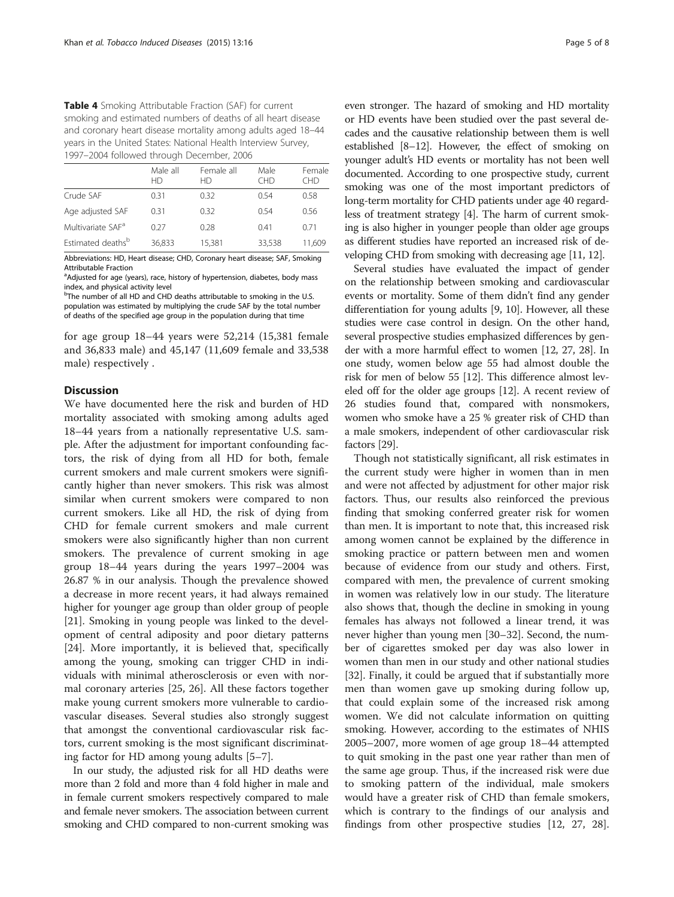<span id="page-4-0"></span>Table 4 Smoking Attributable Fraction (SAF) for current smoking and estimated numbers of deaths of all heart disease and coronary heart disease mortality among adults aged 18–44 years in the United States: National Health Interview Survey, 1997–2004 followed through December, 2006

|                               | Male all<br>HD | Female all<br>НŊ | Male<br>CHD | Female<br><b>CHD</b> |
|-------------------------------|----------------|------------------|-------------|----------------------|
| Crude SAF                     | 0.31           | 0.32             | 0.54        | 0.58                 |
| Age adjusted SAF              | 0.31           | 0.32             | 0.54        | 0.56                 |
| Multivariate SAF <sup>a</sup> | 0.27           | 0.28             | 0.41        | 0.71                 |
| Estimated deaths <sup>b</sup> | 36,833         | 15.381           | 33,538      | 11.609               |

Abbreviations: HD, Heart disease; CHD, Coronary heart disease; SAF, Smoking Attributable Fraction

<sup>a</sup>Adjusted for age (years), race, history of hypertension, diabetes, body mass index, and physical activity level

<sup>b</sup>The number of all HD and CHD deaths attributable to smoking in the U.S. population was estimated by multiplying the crude SAF by the total number of deaths of the specified age group in the population during that time

for age group 18–44 years were 52,214 (15,381 female and 36,833 male) and 45,147 (11,609 female and 33,538 male) respectively .

#### **Discussion**

We have documented here the risk and burden of HD mortality associated with smoking among adults aged 18–44 years from a nationally representative U.S. sample. After the adjustment for important confounding factors, the risk of dying from all HD for both, female current smokers and male current smokers were significantly higher than never smokers. This risk was almost similar when current smokers were compared to non current smokers. Like all HD, the risk of dying from CHD for female current smokers and male current smokers were also significantly higher than non current smokers. The prevalence of current smoking in age group 18–44 years during the years 1997–2004 was 26.87 % in our analysis. Though the prevalence showed a decrease in more recent years, it had always remained higher for younger age group than older group of people [[21\]](#page-6-0). Smoking in young people was linked to the development of central adiposity and poor dietary patterns [[24\]](#page-6-0). More importantly, it is believed that, specifically among the young, smoking can trigger CHD in individuals with minimal atherosclerosis or even with normal coronary arteries [[25](#page-6-0), [26\]](#page-6-0). All these factors together make young current smokers more vulnerable to cardiovascular diseases. Several studies also strongly suggest that amongst the conventional cardiovascular risk factors, current smoking is the most significant discriminating factor for HD among young adults [[5](#page-6-0)–[7](#page-6-0)].

In our study, the adjusted risk for all HD deaths were more than 2 fold and more than 4 fold higher in male and in female current smokers respectively compared to male and female never smokers. The association between current smoking and CHD compared to non-current smoking was

even stronger. The hazard of smoking and HD mortality or HD events have been studied over the past several decades and the causative relationship between them is well established [[8](#page-6-0)–[12\]](#page-6-0). However, the effect of smoking on younger adult's HD events or mortality has not been well documented. According to one prospective study, current smoking was one of the most important predictors of long-term mortality for CHD patients under age 40 regardless of treatment strategy [[4\]](#page-6-0). The harm of current smoking is also higher in younger people than older age groups as different studies have reported an increased risk of developing CHD from smoking with decreasing age [[11](#page-6-0), [12](#page-6-0)].

Several studies have evaluated the impact of gender on the relationship between smoking and cardiovascular events or mortality. Some of them didn't find any gender differentiation for young adults [[9, 10\]](#page-6-0). However, all these studies were case control in design. On the other hand, several prospective studies emphasized differences by gender with a more harmful effect to women [[12](#page-6-0), [27](#page-6-0), [28](#page-6-0)]. In one study, women below age 55 had almost double the risk for men of below 55 [\[12\]](#page-6-0). This difference almost leveled off for the older age groups [\[12\]](#page-6-0). A recent review of 26 studies found that, compared with nonsmokers, women who smoke have a 25 % greater risk of CHD than a male smokers, independent of other cardiovascular risk factors [\[29\]](#page-6-0).

Though not statistically significant, all risk estimates in the current study were higher in women than in men and were not affected by adjustment for other major risk factors. Thus, our results also reinforced the previous finding that smoking conferred greater risk for women than men. It is important to note that, this increased risk among women cannot be explained by the difference in smoking practice or pattern between men and women because of evidence from our study and others. First, compared with men, the prevalence of current smoking in women was relatively low in our study. The literature also shows that, though the decline in smoking in young females has always not followed a linear trend, it was never higher than young men [[30](#page-6-0)–[32\]](#page-6-0). Second, the number of cigarettes smoked per day was also lower in women than men in our study and other national studies [[32\]](#page-6-0). Finally, it could be argued that if substantially more men than women gave up smoking during follow up, that could explain some of the increased risk among women. We did not calculate information on quitting smoking. However, according to the estimates of NHIS 2005–2007, more women of age group 18–44 attempted to quit smoking in the past one year rather than men of the same age group. Thus, if the increased risk were due to smoking pattern of the individual, male smokers would have a greater risk of CHD than female smokers, which is contrary to the findings of our analysis and findings from other prospective studies [\[12](#page-6-0), [27](#page-6-0), [28](#page-6-0)].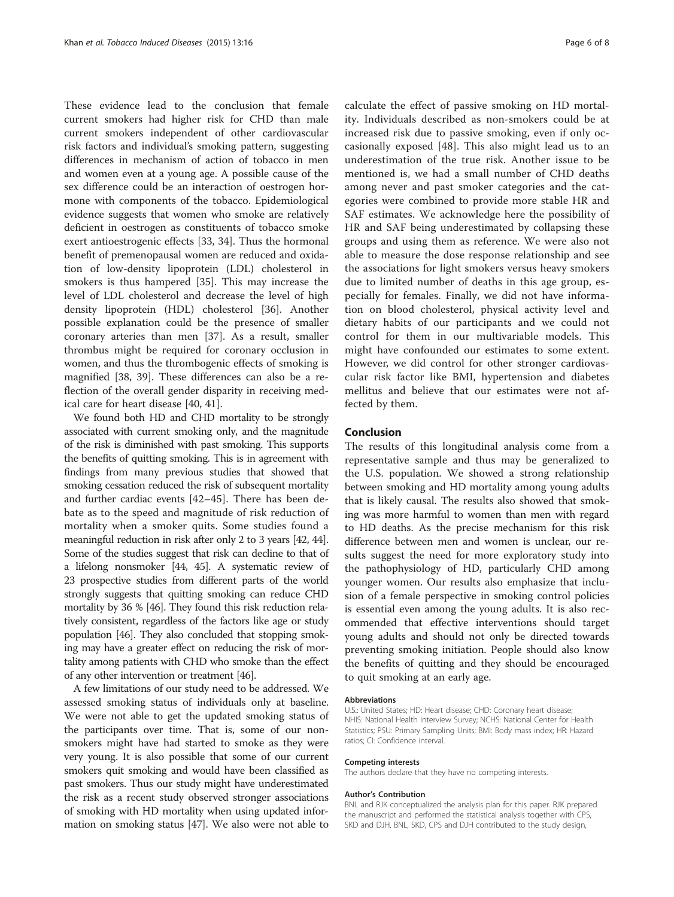These evidence lead to the conclusion that female current smokers had higher risk for CHD than male current smokers independent of other cardiovascular risk factors and individual's smoking pattern, suggesting differences in mechanism of action of tobacco in men and women even at a young age. A possible cause of the sex difference could be an interaction of oestrogen hormone with components of the tobacco. Epidemiological evidence suggests that women who smoke are relatively deficient in oestrogen as constituents of tobacco smoke exert antioestrogenic effects [[33, 34\]](#page-6-0). Thus the hormonal benefit of premenopausal women are reduced and oxidation of low-density lipoprotein (LDL) cholesterol in smokers is thus hampered [\[35](#page-6-0)]. This may increase the level of LDL cholesterol and decrease the level of high density lipoprotein (HDL) cholesterol [\[36\]](#page-6-0). Another possible explanation could be the presence of smaller coronary arteries than men [[37\]](#page-6-0). As a result, smaller thrombus might be required for coronary occlusion in women, and thus the thrombogenic effects of smoking is magnified [[38](#page-6-0), [39\]](#page-6-0). These differences can also be a reflection of the overall gender disparity in receiving medical care for heart disease [[40](#page-7-0), [41](#page-7-0)].

We found both HD and CHD mortality to be strongly associated with current smoking only, and the magnitude of the risk is diminished with past smoking. This supports the benefits of quitting smoking. This is in agreement with findings from many previous studies that showed that smoking cessation reduced the risk of subsequent mortality and further cardiac events [\[42](#page-7-0)–[45](#page-7-0)]. There has been debate as to the speed and magnitude of risk reduction of mortality when a smoker quits. Some studies found a meaningful reduction in risk after only 2 to 3 years [\[42](#page-7-0), [44](#page-7-0)]. Some of the studies suggest that risk can decline to that of a lifelong nonsmoker [[44](#page-7-0), [45](#page-7-0)]. A systematic review of 23 prospective studies from different parts of the world strongly suggests that quitting smoking can reduce CHD mortality by 36 % [\[46\]](#page-7-0). They found this risk reduction relatively consistent, regardless of the factors like age or study population [[46\]](#page-7-0). They also concluded that stopping smoking may have a greater effect on reducing the risk of mortality among patients with CHD who smoke than the effect of any other intervention or treatment [\[46](#page-7-0)].

A few limitations of our study need to be addressed. We assessed smoking status of individuals only at baseline. We were not able to get the updated smoking status of the participants over time. That is, some of our nonsmokers might have had started to smoke as they were very young. It is also possible that some of our current smokers quit smoking and would have been classified as past smokers. Thus our study might have underestimated the risk as a recent study observed stronger associations of smoking with HD mortality when using updated information on smoking status [\[47\]](#page-7-0). We also were not able to

calculate the effect of passive smoking on HD mortality. Individuals described as non-smokers could be at increased risk due to passive smoking, even if only occasionally exposed [[48\]](#page-7-0). This also might lead us to an underestimation of the true risk. Another issue to be mentioned is, we had a small number of CHD deaths among never and past smoker categories and the categories were combined to provide more stable HR and SAF estimates. We acknowledge here the possibility of HR and SAF being underestimated by collapsing these groups and using them as reference. We were also not able to measure the dose response relationship and see the associations for light smokers versus heavy smokers due to limited number of deaths in this age group, especially for females. Finally, we did not have information on blood cholesterol, physical activity level and dietary habits of our participants and we could not control for them in our multivariable models. This might have confounded our estimates to some extent. However, we did control for other stronger cardiovascular risk factor like BMI, hypertension and diabetes mellitus and believe that our estimates were not affected by them.

#### Conclusion

The results of this longitudinal analysis come from a representative sample and thus may be generalized to the U.S. population. We showed a strong relationship between smoking and HD mortality among young adults that is likely causal. The results also showed that smoking was more harmful to women than men with regard to HD deaths. As the precise mechanism for this risk difference between men and women is unclear, our results suggest the need for more exploratory study into the pathophysiology of HD, particularly CHD among younger women. Our results also emphasize that inclusion of a female perspective in smoking control policies is essential even among the young adults. It is also recommended that effective interventions should target young adults and should not only be directed towards preventing smoking initiation. People should also know the benefits of quitting and they should be encouraged to quit smoking at an early age.

#### Abbreviations

U.S.: United States; HD: Heart disease; CHD: Coronary heart disease; NHIS: National Health Interview Survey; NCHS: National Center for Health Statistics; PSU: Primary Sampling Units; BMI: Body mass index; HR: Hazard ratios; CI: Confidence interval.

#### Competing interests

The authors declare that they have no competing interests.

#### Author's Contribution

BNL and RJK conceptualized the analysis plan for this paper. RJK prepared the manuscript and performed the statistical analysis together with CPS, SKD and DJH. BNL, SKD, CPS and DJH contributed to the study design,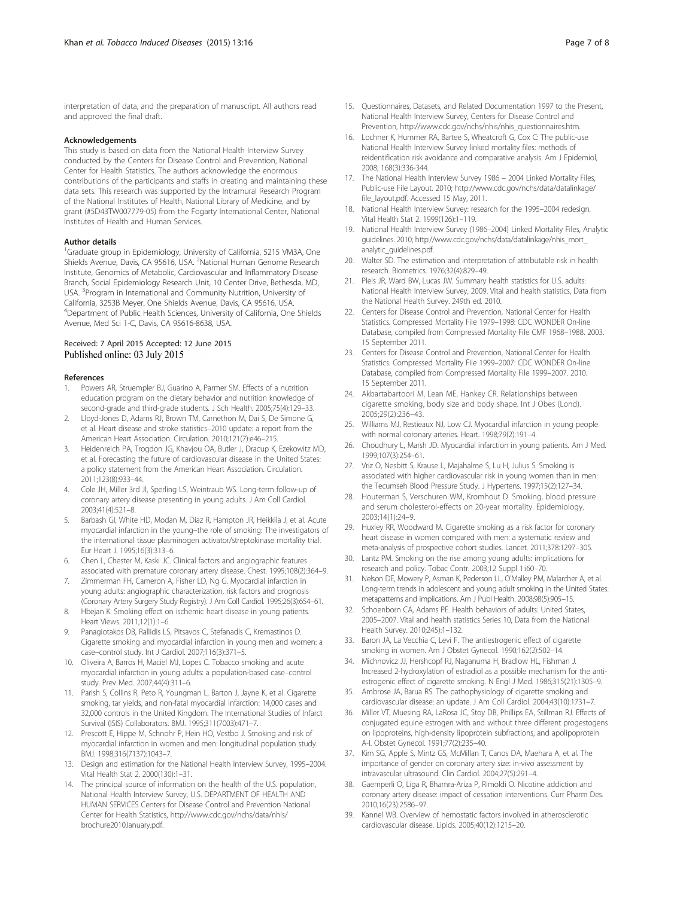<span id="page-6-0"></span>interpretation of data, and the preparation of manuscript. All authors read and approved the final draft.

#### Acknowledgements

This study is based on data from the National Health Interview Survey conducted by the Centers for Disease Control and Prevention, National Center for Health Statistics. The authors acknowledge the enormous contributions of the participants and staffs in creating and maintaining these data sets. This research was supported by the Intramural Research Program of the National Institutes of Health, National Library of Medicine, and by grant (#5D43TW007779-05) from the Fogarty International Center, National Institutes of Health and Human Services.

#### Author details

<sup>1</sup>Graduate group in Epidemiology, University of California, 5215 VM3A, One Shields Avenue, Davis, CA 95616, USA. <sup>2</sup>National Human Genome Research Institute, Genomics of Metabolic, Cardiovascular and Inflammatory Disease Branch, Social Epidemiology Research Unit, 10 Center Drive, Bethesda, MD, USA. <sup>3</sup>Program in International and Community Nutrition, University of California, 3253B Meyer, One Shields Avenue, Davis, CA 95616, USA. 4 Department of Public Health Sciences, University of California, One Shields Avenue, Med Sci 1-C, Davis, CA 95616-8638, USA.

#### Received: 7 April 2015 Accepted: 12 June 2015 Published online: 03 July 2015

#### References

- 1. Powers AR, Struempler BJ, Guarino A, Parmer SM. Effects of a nutrition education program on the dietary behavior and nutrition knowledge of second-grade and third-grade students. J Sch Health. 2005;75(4):129–33.
- 2. Lloyd-Jones D, Adams RJ, Brown TM, Carnethon M, Dai S, De Simone G, et al. Heart disease and stroke statistics–2010 update: a report from the American Heart Association. Circulation. 2010;121(7):e46–215.
- 3. Heidenreich PA, Trogdon JG, Khavjou OA, Butler J, Dracup K, Ezekowitz MD, et al. Forecasting the future of cardiovascular disease in the United States: a policy statement from the American Heart Association. Circulation. 2011;123(8):933–44.
- 4. Cole JH, Miller 3rd JI, Sperling LS, Weintraub WS. Long-term follow-up of coronary artery disease presenting in young adults. J Am Coll Cardiol. 2003;41(4):521–8.
- 5. Barbash GI, White HD, Modan M, Diaz R, Hampton JR, Heikkila J, et al. Acute myocardial infarction in the young–the role of smoking: The investigators of the international tissue plasminogen activator/streptokinase mortality trial. Eur Heart J. 1995;16(3):313–6.
- 6. Chen L, Chester M, Kaski JC. Clinical factors and angiographic features associated with premature coronary artery disease. Chest. 1995;108(2):364–9.
- 7. Zimmerman FH, Cameron A, Fisher LD, Ng G. Myocardial infarction in young adults: angiographic characterization, risk factors and prognosis (Coronary Artery Surgery Study Registry). J Am Coll Cardiol. 1995;26(3):654–61.
- 8. Hbejan K. Smoking effect on ischemic heart disease in young patients. Heart Views. 2011;12(1):1–6.
- 9. Panagiotakos DB, Rallidis LS, Pitsavos C, Stefanadis C, Kremastinos D. Cigarette smoking and myocardial infarction in young men and women: a case–control study. Int J Cardiol. 2007;116(3):371–5.
- 10. Oliveira A, Barros H, Maciel MJ, Lopes C. Tobacco smoking and acute myocardial infarction in young adults: a population-based case–control study. Prev Med. 2007;44(4):311–6.
- 11. Parish S, Collins R, Peto R, Youngman L, Barton J, Jayne K, et al. Cigarette smoking, tar yields, and non-fatal myocardial infarction: 14,000 cases and 32,000 controls in the United Kingdom. The International Studies of Infarct Survival (ISIS) Collaborators. BMJ. 1995;311(7003):471–7.
- 12. Prescott E, Hippe M, Schnohr P, Hein HO, Vestbo J. Smoking and risk of myocardial infarction in women and men: longitudinal population study. BMJ. 1998;316(7137):1043–7.
- 13. Design and estimation for the National Health Interview Survey, 1995–2004. Vital Health Stat 2. 2000(130):1–31.
- 14. The principal source of information on the health of the U.S. population, National Health Interview Survey, U.S. DEPARTMENT OF HEALTH AND HUMAN SERVICES Centers for Disease Control and Prevention National Center for Health Statistics, [http://www.cdc.gov/nchs/data/nhis/](http://www.cdc.gov/nchs/data/datalinkage/file_layout.pdf) [brochure2010January.pdf](http://www.cdc.gov/nchs/data/datalinkage/file_layout.pdf).
- 15. Questionnaires, Datasets, and Related Documentation 1997 to the Present, National Health Interview Survey, Centers for Disease Control and Prevention, [http://www.cdc.gov/nchs/nhis/nhis\\_questionnaires.htm.](http://www.cdc.gov/nchs/nhis/nhis_questionnaires.htm)
- 16. Lochner K, Hummer RA, Bartee S, Wheatcroft G, Cox C: The public-use National Health Interview Survey linked mortality files: methods of reidentification risk avoidance and comparative analysis. Am J Epidemiol, 2008; 168(3):336-344.
- 17. The National Health Interview Survey 1986 2004 Linked Mortality Files, Public-use File Layout. 2010; [http://www.cdc.gov/nchs/data/datalinkage/](http://www.cdc.gov/nchs/data/datalinkage/file_layout.pdf) [file\\_layout.pdf.](http://www.cdc.gov/nchs/data/datalinkage/file_layout.pdf) Accessed 15 May, 2011.
- 18. National Health Interview Survey: research for the 1995–2004 redesign. Vital Health Stat 2. 1999(126):1–119.
- 19. National Health Interview Survey (1986–2004) Linked Mortality Files, Analytic guidelines. 2010; [http://www.cdc.gov/nchs/data/datalinkage/nhis\\_mort\\_](http://www.cdc.gov/nchs/data/datalinkage/nhis_mort_analytic_guidelines.pdf) [analytic\\_guidelines.pdf](http://www.cdc.gov/nchs/data/datalinkage/nhis_mort_analytic_guidelines.pdf).
- 20. Walter SD. The estimation and interpretation of attributable risk in health research. Biometrics. 1976;32(4):829–49.
- 21. Pleis JR, Ward BW, Lucas JW. Summary health statistics for U.S. adults: National Health Interview Survey, 2009. Vital and health statistics, Data from the National Health Survey. 249th ed. 2010.
- 22. Centers for Disease Control and Prevention, National Center for Health Statistics. Compressed Mortality File 1979–1998: CDC WONDER On-line Database, compiled from Compressed Mortality File CMF 1968–1988. 2003. 15 September 2011.
- 23. Centers for Disease Control and Prevention, National Center for Health Statistics. Compressed Mortality File 1999–2007: CDC WONDER On-line Database, compiled from Compressed Mortality File 1999–2007. 2010. 15 September 2011.
- 24. Akbartabartoori M, Lean ME, Hankey CR. Relationships between cigarette smoking, body size and body shape. Int J Obes (Lond). 2005;29(2):236–43.
- 25. Williams MJ, Restieaux NJ, Low CJ. Myocardial infarction in young people with normal coronary arteries. Heart. 1998;79(2):191–4.
- 26. Choudhury L, Marsh JD. Myocardial infarction in young patients. Am J Med. 1999;107(3):254–61.
- 27. Vriz O, Nesbitt S, Krause L, Majahalme S, Lu H, Julius S. Smoking is associated with higher cardiovascular risk in young women than in men: the Tecumseh Blood Pressure Study. J Hypertens. 1997;15(2):127–34.
- 28. Houterman S, Verschuren WM, Kromhout D. Smoking, blood pressure and serum cholesterol-effects on 20-year mortality. Epidemiology. 2003;14(1):24–9.
- 29. Huxley RR, Woodward M. Cigarette smoking as a risk factor for coronary heart disease in women compared with men: a systematic review and meta-analysis of prospective cohort studies. Lancet. 2011;378:1297–305.
- 30. Lantz PM. Smoking on the rise among young adults: implications for research and policy. Tobac Contr. 2003;12 Suppl 1:i60–70.
- 31. Nelson DE, Mowery P, Asman K, Pederson LL, O'Malley PM, Malarcher A, et al. Long-term trends in adolescent and young adult smoking in the United States: metapatterns and implications. Am J Publ Health. 2008;98(5):905–15.
- 32. Schoenborn CA, Adams PE. Health behaviors of adults: United States, 2005–2007. Vital and health statistics Series 10, Data from the National Health Survey. 2010;245):1–132.
- 33. Baron JA, La Vecchia C, Levi F. The antiestrogenic effect of cigarette smoking in women. Am J Obstet Gynecol. 1990;162(2):502–14.
- 34. Michnovicz JJ, Hershcopf RJ, Naganuma H, Bradlow HL, Fishman J. Increased 2-hydroxylation of estradiol as a possible mechanism for the antiestrogenic effect of cigarette smoking. N Engl J Med. 1986;315(21):1305–9.
- 35. Ambrose JA, Barua RS. The pathophysiology of cigarette smoking and cardiovascular disease: an update. J Am Coll Cardiol. 2004;43(10):1731–7.
- 36. Miller VT, Muesing RA, LaRosa JC, Stoy DB, Phillips EA, Stillman RJ. Effects of conjugated equine estrogen with and without three different progestogens on lipoproteins, high-density lipoprotein subfractions, and apolipoprotein A-I. Obstet Gynecol. 1991;77(2):235–40.
- 37. Kim SG, Apple S, Mintz GS, McMillan T, Canos DA, Maehara A, et al. The importance of gender on coronary artery size: in-vivo assessment by intravascular ultrasound. Clin Cardiol. 2004;27(5):291–4.
- 38. Gaemperli O, Liga R, Bhamra-Ariza P, Rimoldi O. Nicotine addiction and coronary artery disease: impact of cessation interventions. Curr Pharm Des. 2010;16(23):2586–97.
- 39. Kannel WB. Overview of hemostatic factors involved in atherosclerotic cardiovascular disease. Lipids. 2005;40(12):1215–20.